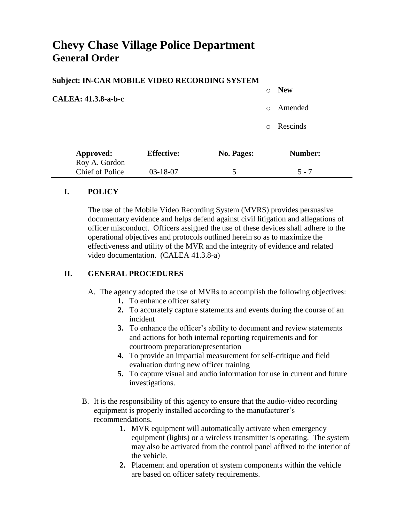# **Chevy Chase Village Police Department General Order**

#### **Subject: IN-CAR MOBILE VIDEO RECORDING SYSTEM**

| CALEA: 41.3.8-a-b-c    |                   |                   | $\circ$ | <b>New</b> |  |
|------------------------|-------------------|-------------------|---------|------------|--|
|                        |                   |                   | $\circ$ | Amended    |  |
|                        |                   |                   |         | o Rescinds |  |
| Approved:              | <b>Effective:</b> | <b>No. Pages:</b> |         | Number:    |  |
| Roy A. Gordon          |                   |                   |         |            |  |
| <b>Chief of Police</b> | $03 - 18 - 07$    | 5                 |         | $5 - 7$    |  |

#### **I. POLICY**

The use of the Mobile Video Recording System (MVRS) provides persuasive documentary evidence and helps defend against civil litigation and allegations of officer misconduct. Officers assigned the use of these devices shall adhere to the operational objectives and protocols outlined herein so as to maximize the effectiveness and utility of the MVR and the integrity of evidence and related video documentation. (CALEA 41.3.8-a)

#### **II. GENERAL PROCEDURES**

- A. The agency adopted the use of MVRs to accomplish the following objectives:
	- **1.** To enhance officer safety
	- **2.** To accurately capture statements and events during the course of an incident
	- **3.** To enhance the officer's ability to document and review statements and actions for both internal reporting requirements and for courtroom preparation/presentation
	- **4.** To provide an impartial measurement for self-critique and field evaluation during new officer training
	- **5.** To capture visual and audio information for use in current and future investigations.
- B. It is the responsibility of this agency to ensure that the audio-video recording equipment is properly installed according to the manufacturer's recommendations.
	- **1.** MVR equipment will automatically activate when emergency equipment (lights) or a wireless transmitter is operating. The system may also be activated from the control panel affixed to the interior of the vehicle.
	- **2.** Placement and operation of system components within the vehicle are based on officer safety requirements.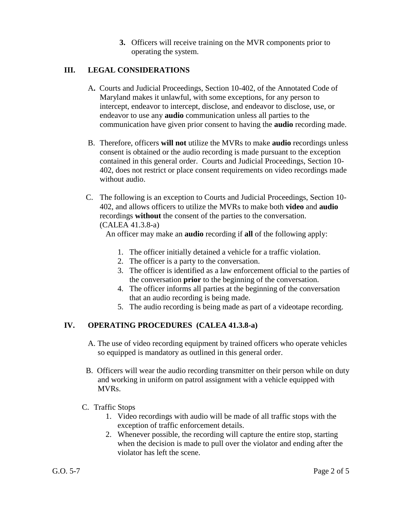**3.** Officers will receive training on the MVR components prior to operating the system.

#### **III. LEGAL CONSIDERATIONS**

- A**.** Courts and Judicial Proceedings, Section 10-402, of the Annotated Code of Maryland makes it unlawful, with some exceptions, for any person to intercept, endeavor to intercept, disclose, and endeavor to disclose, use, or endeavor to use any **audio** communication unless all parties to the communication have given prior consent to having the **audio** recording made.
- B. Therefore, officers **will not** utilize the MVRs to make **audio** recordings unless consent is obtained or the audio recording is made pursuant to the exception contained in this general order. Courts and Judicial Proceedings, Section 10- 402, does not restrict or place consent requirements on video recordings made without audio.
- C. The following is an exception to Courts and Judicial Proceedings, Section 10- 402, and allows officers to utilize the MVRs to make both **video** and **audio**  recordings **without** the consent of the parties to the conversation. (CALEA 41.3.8-a)

An officer may make an **audio** recording if **all** of the following apply:

- 1. The officer initially detained a vehicle for a traffic violation.
- 2. The officer is a party to the conversation.
- 3. The officer is identified as a law enforcement official to the parties of the conversation **prior** to the beginning of the conversation.
- 4. The officer informs all parties at the beginning of the conversation that an audio recording is being made.
- 5. The audio recording is being made as part of a videotape recording.

## **IV. OPERATING PROCEDURES (CALEA 41.3.8-a)**

- A. The use of video recording equipment by trained officers who operate vehicles so equipped is mandatory as outlined in this general order.
- B. Officers will wear the audio recording transmitter on their person while on duty and working in uniform on patrol assignment with a vehicle equipped with MVRs.
- C. Traffic Stops
	- 1. Video recordings with audio will be made of all traffic stops with the exception of traffic enforcement details.
	- 2. Whenever possible, the recording will capture the entire stop, starting when the decision is made to pull over the violator and ending after the violator has left the scene.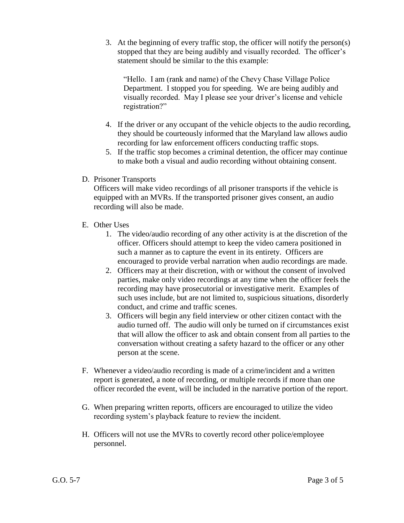3. At the beginning of every traffic stop, the officer will notify the person(s) stopped that they are being audibly and visually recorded. The officer's statement should be similar to the this example:

"Hello. I am (rank and name) of the Chevy Chase Village Police Department. I stopped you for speeding. We are being audibly and visually recorded. May I please see your driver's license and vehicle registration?"

- 4. If the driver or any occupant of the vehicle objects to the audio recording, they should be courteously informed that the Maryland law allows audio recording for law enforcement officers conducting traffic stops.
- 5. If the traffic stop becomes a criminal detention, the officer may continue to make both a visual and audio recording without obtaining consent.
- D. Prisoner Transports

Officers will make video recordings of all prisoner transports if the vehicle is equipped with an MVRs. If the transported prisoner gives consent, an audio recording will also be made.

- E. Other Uses
	- 1. The video/audio recording of any other activity is at the discretion of the officer. Officers should attempt to keep the video camera positioned in such a manner as to capture the event in its entirety. Officers are encouraged to provide verbal narration when audio recordings are made.
	- 2. Officers may at their discretion, with or without the consent of involved parties, make only video recordings at any time when the officer feels the recording may have prosecutorial or investigative merit. Examples of such uses include, but are not limited to, suspicious situations, disorderly conduct, and crime and traffic scenes.
	- 3. Officers will begin any field interview or other citizen contact with the audio turned off. The audio will only be turned on if circumstances exist that will allow the officer to ask and obtain consent from all parties to the conversation without creating a safety hazard to the officer or any other person at the scene.
- F. Whenever a video/audio recording is made of a crime/incident and a written report is generated, a note of recording, or multiple records if more than one officer recorded the event, will be included in the narrative portion of the report.
- G. When preparing written reports, officers are encouraged to utilize the video recording system's playback feature to review the incident.
- H. Officers will not use the MVRs to covertly record other police/employee personnel.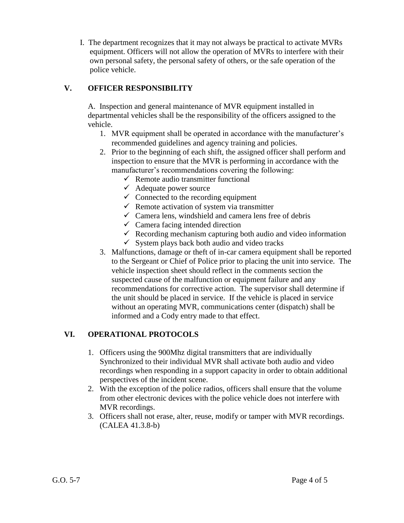I. The department recognizes that it may not always be practical to activate MVRs equipment. Officers will not allow the operation of MVRs to interfere with their own personal safety, the personal safety of others, or the safe operation of the police vehicle.

## **V. OFFICER RESPONSIBILITY**

A. Inspection and general maintenance of MVR equipment installed in departmental vehicles shall be the responsibility of the officers assigned to the vehicle.

- 1. MVR equipment shall be operated in accordance with the manufacturer's recommended guidelines and agency training and policies.
- 2. Prior to the beginning of each shift, the assigned officer shall perform and inspection to ensure that the MVR is performing in accordance with the manufacturer's recommendations covering the following:
	- $\checkmark$  Remote audio transmitter functional
	- $\checkmark$  Adequate power source
	- $\checkmark$  Connected to the recording equipment
	- $\checkmark$  Remote activation of system via transmitter
	- $\checkmark$  Camera lens, windshield and camera lens free of debris
	- $\checkmark$  Camera facing intended direction
	- $\checkmark$  Recording mechanism capturing both audio and video information
	- $\checkmark$  System plays back both audio and video tracks
- 3. Malfunctions, damage or theft of in-car camera equipment shall be reported to the Sergeant or Chief of Police prior to placing the unit into service. The vehicle inspection sheet should reflect in the comments section the suspected cause of the malfunction or equipment failure and any recommendations for corrective action. The supervisor shall determine if the unit should be placed in service. If the vehicle is placed in service without an operating MVR, communications center (dispatch) shall be informed and a Cody entry made to that effect.

## **VI. OPERATIONAL PROTOCOLS**

- 1. Officers using the 900Mhz digital transmitters that are individually Synchronized to their individual MVR shall activate both audio and video recordings when responding in a support capacity in order to obtain additional perspectives of the incident scene.
- 2. With the exception of the police radios, officers shall ensure that the volume from other electronic devices with the police vehicle does not interfere with MVR recordings.
- 3. Officers shall not erase, alter, reuse, modify or tamper with MVR recordings. (CALEA 41.3.8-b)